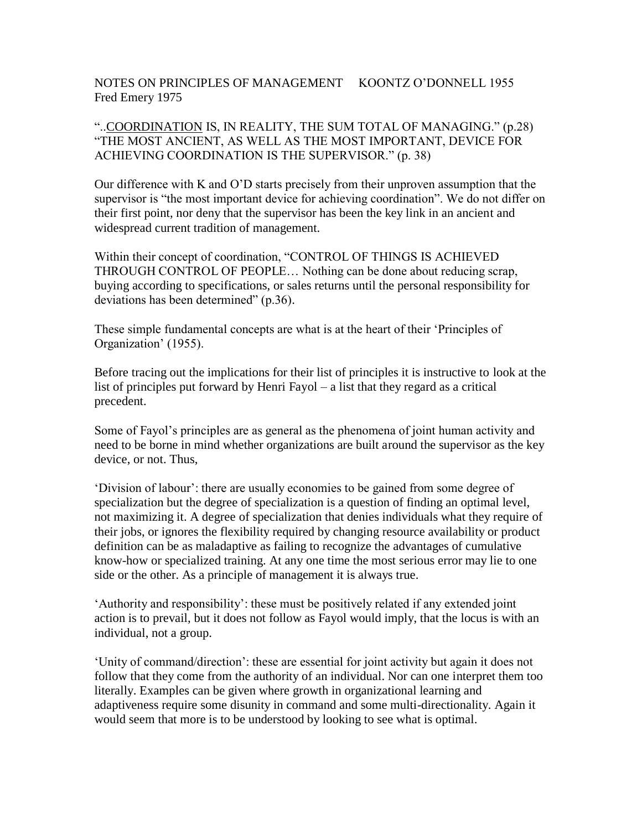NOTES ON PRINCIPLES OF MANAGEMENT KOONTZ O'DONNELL 1955 Fred Emery 1975

"..COORDINATION IS, IN REALITY, THE SUM TOTAL OF MANAGING." (p.28) "THE MOST ANCIENT, AS WELL AS THE MOST IMPORTANT, DEVICE FOR ACHIEVING COORDINATION IS THE SUPERVISOR." (p. 38)

Our difference with K and O'D starts precisely from their unproven assumption that the supervisor is "the most important device for achieving coordination". We do not differ on their first point, nor deny that the supervisor has been the key link in an ancient and widespread current tradition of management.

Within their concept of coordination, "CONTROL OF THINGS IS ACHIEVED THROUGH CONTROL OF PEOPLE… Nothing can be done about reducing scrap, buying according to specifications, or sales returns until the personal responsibility for deviations has been determined" (p.36).

These simple fundamental concepts are what is at the heart of their 'Principles of Organization' (1955).

Before tracing out the implications for their list of principles it is instructive to look at the list of principles put forward by Henri Fayol – a list that they regard as a critical precedent.

Some of Fayol's principles are as general as the phenomena of joint human activity and need to be borne in mind whether organizations are built around the supervisor as the key device, or not. Thus,

'Division of labour': there are usually economies to be gained from some degree of specialization but the degree of specialization is a question of finding an optimal level, not maximizing it. A degree of specialization that denies individuals what they require of their jobs, or ignores the flexibility required by changing resource availability or product definition can be as maladaptive as failing to recognize the advantages of cumulative know-how or specialized training. At any one time the most serious error may lie to one side or the other. As a principle of management it is always true.

'Authority and responsibility': these must be positively related if any extended joint action is to prevail, but it does not follow as Fayol would imply, that the locus is with an individual, not a group.

'Unity of command/direction': these are essential for joint activity but again it does not follow that they come from the authority of an individual. Nor can one interpret them too literally. Examples can be given where growth in organizational learning and adaptiveness require some disunity in command and some multi-directionality. Again it would seem that more is to be understood by looking to see what is optimal.